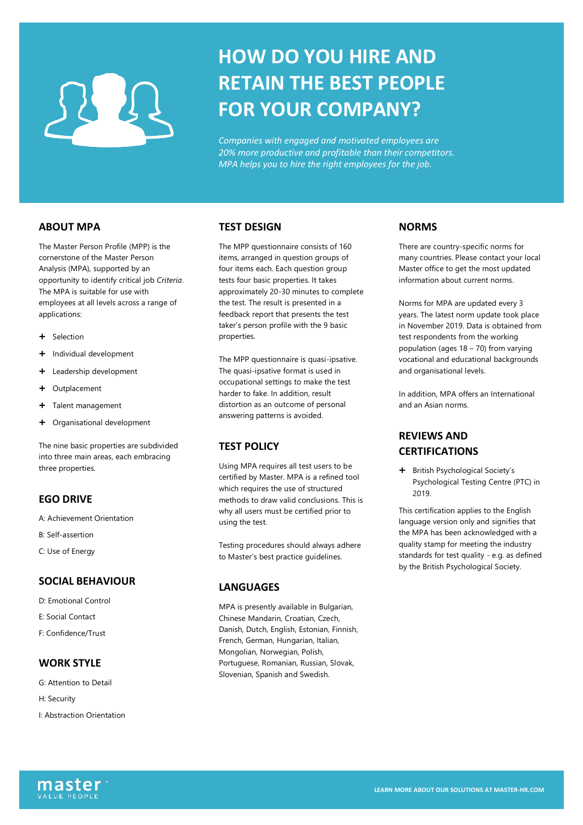# **HOW DO YOU HIRE AND RETAIN THE BEST PEOPLE FOR YOUR COMPANY?**

*Companies with engaged and motivated employees are 20% more productive and profitable than their competitors. MPA helps you to hire the right employees for the job.*

### **ABOUT MPA**

The Master Person Profile (MPP) is the cornerstone of the Master Person Analysis (MPA), supported by an opportunity to identify critical job *Criteria*. The MPA is suitable for use with employees at all levels across a range of applications:

- Selection
- + Individual development
- + Leadership development
- + Outplacement
- + Talent management
- Organisational development

The nine basic properties are subdivided into three main areas, each embracing three properties.

#### **EGO DRIVE**

A: Achievement Orientation

- B: Self-assertion
- C: Use of Energy

#### **SOCIAL BEHAVIOUR**

- D: Emotional Control
- E: Social Contact
- F: Confidence/Trust

### **WORK STYLE**

- G: Attention to Detail
- H: Security
- I: Abstraction Orientation

#### **TEST DESIGN**

The MPP questionnaire consists of 160 items, arranged in question groups of four items each. Each question group tests four basic properties. It takes approximately 20-30 minutes to complete the test. The result is presented in a feedback report that presents the test taker's person profile with the 9 basic properties.

The MPP questionnaire is quasi-ipsative. The quasi-ipsative format is used in occupational settings to make the test harder to fake. In addition, result distortion as an outcome of personal answering patterns is avoided.

#### **TEST POLICY**

Using MPA requires all test users to be certified by Master. MPA is a refined tool which requires the use of structured methods to draw valid conclusions. This is why all users must be certified prior to using the test.

Testing procedures should always adhere to Master's best practice guidelines.

#### **LANGUAGES**

MPA is presently available in Bulgarian, Chinese Mandarin, Croatian, Czech, Danish, Dutch, English, Estonian, Finnish, French, German, Hungarian, Italian, Mongolian, Norwegian, Polish, Portuguese, Romanian, Russian, Slovak, Slovenian, Spanish and Swedish.

#### **NORMS**

There are country-specific norms for many countries. Please contact your local Master office to get the most updated information about current norms.

Norms for MPA are updated every 3 years. The latest norm update took place in November 2019. Data is obtained from test respondents from the working population (ages 18 – 70) from varying vocational and educational backgrounds and organisational levels.

In addition, MPA offers an International and an Asian norms.

## **REVIEWS AND CERTIFICATIONS**

+ British Psychological Society's Psychological Testing Centre (PTC) in 2019.

This certification applies to the English language version only and signifies that the MPA has been acknowledged with a quality stamp for meeting the industry standards for test quality - e.g. as defined by the British Psychological Society.